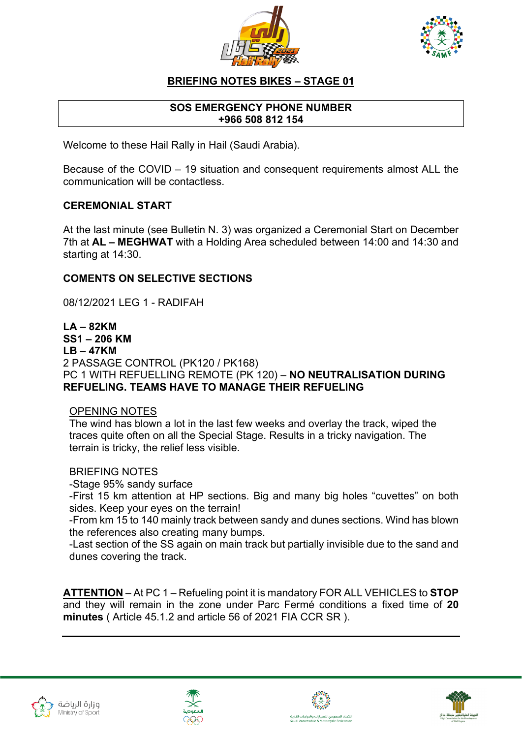



# **BRIEFING NOTES BIKES – STAGE 01**

## **SOS EMERGENCY PHONE NUMBER +966 508 812 154**

Welcome to these Hail Rally in Hail (Saudi Arabia).

Because of the COVID – 19 situation and consequent requirements almost ALL the communication will be contactless.

## **CEREMONIAL START**

At the last minute (see Bulletin N. 3) was organized a Ceremonial Start on December 7th at **AL – MEGHWAT** with a Holding Area scheduled between 14:00 and 14:30 and starting at 14:30.

## **COMENTS ON SELECTIVE SECTIONS**

08/12/2021 LEG 1 - RADIFAH

**LA – 82KM SS1 – 206 KM LB – 47KM** 2 PASSAGE CONTROL (PK120 / PK168) PC 1 WITH REFUELLING REMOTE (PK 120) – **NO NEUTRALISATION DURING REFUELING. TEAMS HAVE TO MANAGE THEIR REFUELING**

#### OPENING NOTES

The wind has blown a lot in the last few weeks and overlay the track, wiped the traces quite often on all the Special Stage. Results in a tricky navigation. The terrain is tricky, the relief less visible.

#### BRIEFING NOTES

-Stage 95% sandy surface

-First 15 km attention at HP sections. Big and many big holes "cuvettes" on both sides. Keep your eyes on the terrain!

-From km 15 to 140 mainly track between sandy and dunes sections. Wind has blown the references also creating many bumps.

-Last section of the SS again on main track but partially invisible due to the sand and dunes covering the track.

**ATTENTION** – At PC 1 – Refueling point it is mandatory FOR ALL VEHICLES to **STOP** and they will remain in the zone under Parc Fermé conditions a fixed time of **20 minutes** ( Article 45.1.2 and article 56 of 2021 FIA CCR SR ).